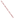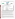## **THE ENVIRONMENTAL TECHNOLOGY VERIFICATION PROGRAM**





**Battelle** The Business of Innovation

# **ETV Joint Verification Statement**

|                                      | <b>TECHNOLOGY TYPE: Mercury Emissions Monitor</b>  |                                                   |
|--------------------------------------|----------------------------------------------------|---------------------------------------------------|
| <b>APPLICATION:</b>                  | <b>Sorbent Trap Monitoring of Flue Gas Mercury</b> |                                                   |
| <b>TECHNOLOGY</b><br><b>NAME:</b>    | HG-324K System                                     |                                                   |
| <b>COMPANY:</b>                      | <b>Environmental Supply Company</b>                |                                                   |
| <b>ADDRESS:</b>                      | 2142 E. Geer Street<br><b>Durham, NC 27704</b>     | PHONE: (919) 956-9688<br>$(919)$ 682-0333<br>FAX: |
| <b>WEB SITE:</b><br>$E\text{-}MAIL:$ | www.environsupply.com<br>esc@environsupply.com     |                                                   |

The U.S. Environmental Protection Agency (EPA) has established the Environmental Technology Verification (ETV) Program to facilitate the deployment of innovative or improved environmental technologies through performance verification and dissemination of information. The goal of the ETV Program is to further environmental protection by accelerating the acceptance and use of improved and cost-effective technologies. ETV seeks to achieve this goal by providing high-quality, peer-reviewed data on technology performance to those involved in the design, distribution, financing, permitting, purchase, and use of environmental technologies. Information and ETV documents are available at www.epa.gov/etv.

ETV works in partnership with recognized standards and testing organizations, with stakeholder groups (consisting of buyers, vendor organizations, and permitters), and with individual technology developers. The program evaluates the performance of innovative technologies by developing test plans that are responsive to the needs of stakeholders, conducting field or laboratory tests (as appropriate), collecting and analyzing data, and preparing peer-reviewed reports. All evaluations are conducted in accordance with rigorous quality assurance (QA) protocols to ensure that data of known and adequate quality are generated and that the results are defensible.

The Advanced Monitoring Systems (AMS) Center, one of six technology areas under ETV, is operated by Battelle in cooperation with EPA's National Exposure Research Laboratory. In collaboration with the Illinois Clean Coal Institute, and with assistance from the Northern Indiana Public Service Company, the AMS Center evaluated the performance of the Environmental Supply Company's HG-324K sorbent-based mercury sampling system for determining mercury in stack gas at a coal-fired power plant. This verification statement provides a summary of the test results.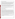#### **VERIFICATION TEST DESCRIPTION**

The performance of the HG-324K was evaluated in terms of relative accuracy (RA), data completeness, and operational factors (ease of use, maintenance and data output needs, power and other consumables use, reliability, and operational costs). RA was determined according to Equation A-10 of Chapter 40 of the Code of Federal Regulations Part 75 (40 CFR Part 75) Appendix A, by comparing HG-324K vapor-phase total mercury ( $Hg_T$ ) results to simultaneous results from American Society for Testing and Materials (ASTM) D 6784-02, the "Ontario Hydro" (OH) method. Data completeness was assessed as the percentage of maximum data return achieved by the HG-324K over its test period. Operational factors were evaluated by means of observations during use and records of needed maintenance, vendor activities, and expendables use.

The HG-324K was verified at Unit 17 of the R.M. Schahfer Generating Station, located near Wheatfield, Indiana, between June 12 and 15, 2006. Unit 17 burns pulverized Illinois sub-bituminous coal and has an electrostatic precipitator and a wet flue gas desulfurization unit. During this period, twelve successive OH method runs, each of 2 hours duration, were conducted on the Unit 17 stack using paired OH trains. Those reference samples were collected and analyzed to determine elemental mercury and oxidized mercury, the sum of which is  $Hg_T$ .

QA oversight of verification testing was provided by Battelle and EPA. Battelle QA staff conducted a technical systems audit, a performance evaluation audit, and a data quality audit of 10% of the test data.

This verification statement, the full report on which it is based, and the test/QA plan for this verification test are all available at www.epa.gov/etv/centers/center1.html.

### **TECHNOLOGY DESCRIPTION**

The following description of the HG-324K is based on information provided by the vendor. The information provided below was not verified in this test.

The HG-324K system was designed to sample mercury emissions from coal-fired sources as specified in Appendix K in 40 CFR Part 75. The system consists of a dual heated probe, knockout and drying impingers to remove moisture, a connecting umbilical, and the HG-324K automated sampler. An integrated sample of vapor phase mercury is captured on two parallel and independent sorbent traps that are placed in the stack on the front of the sampling probe. Stack gas is drawn through each of the traps at a constant flow rate of approximately 500 cubic centimeters per minute. The traps and probe are heated to prevent condensation of moisture from the sample gas. After exiting the probe, the sample gas passes through the knockout and drying impingers to remove moisture and then is drawn into the HG-324K sampler for measurement of the sample volume. The HG-324K provides proportional, integral, derivative flow control of the dual samples; records all temperatures including the stack, probe, and condenser; controls the probe temperature; and measures the dry standard volume of sample gas.

The HG-324K is controlled using an industrial data acquisition and control system with a removable CompactFlash™ memory card for storing data files. The HG-324K may be connected to a plant network through wireless or direct connection to allow program control and remote data access. It comes in a watertight, corrosion proof case with 2-inch hard rubber transport wheels and a retractable extension handle. The outside dimensions are 24-5/8 inches long by 19-1/2 inches wide by 14 inches deep.

The sorbent traps used with the HG-324K were prepared and analyzed for  $Hg_T$  by Frontier Geosciences. Consistent with Appendix K, each trap incorporated a breakthrough section and a pre-spiked section to assess mercury spike recovery.